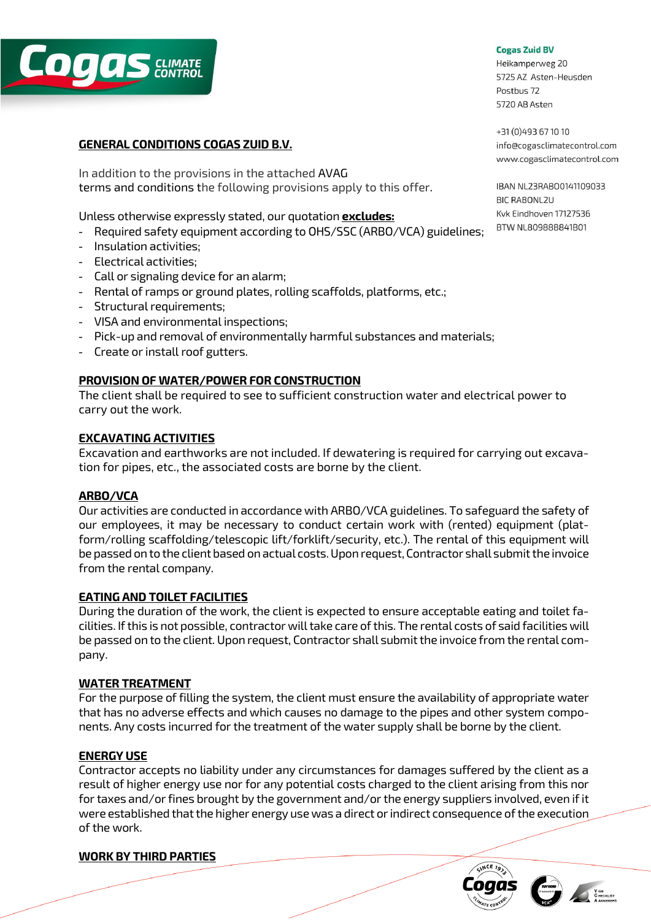

# **GENERAL CONDITIONS COGAS ZUID B.V.**

In addition to the provisions in the attached AVAG terms and conditions the following provisions apply to this offer.

Unless otherwise expressly stated, our quotation **excludes:**

- ‐ Required safety equipment according to OHS/SSC (ARBO/VCA) guidelines;
- ‐ Insulation activities;
- ‐ Electrical activities;
- ‐ Call or signaling device for an alarm;
- ‐ Rental of ramps or ground plates, rolling scaffolds, platforms, etc.;
- ‐ Structural requirements;
- ‐ VISA and environmental inspections;
- ‐ Pick-up and removal of environmentally harmful substances and materials;
- ‐ Create or install roof gutters.

### **PROVISION OF WATER/POWER FOR CONSTRUCTION**

The client shall be required to see to sufficient construction water and electrical power to carry out the work.

### **EXCAVATING ACTIVITIES**

Excavation and earthworks are not included. If dewatering is required for carrying out excavation for pipes, etc., the associated costs are borne by the client.

### **ARBO/VCA**

Our activities are conducted in accordance with ARBO/VCA guidelines. To safeguard the safety of our employees, it may be necessary to conduct certain work with (rented) equipment (platform/rolling scaffolding/telescopic lift/forklift/security, etc.). The rental of this equipment will be passed on to the client based on actual costs. Upon request, Contractor shall submit the invoice from the rental company.

### **EATING AND TOILET FACILITIES**

During the duration of the work, the client is expected to ensure acceptable eating and toilet facilities. If this is not possible, contractor will take care of this. The rental costs of said facilities will be passed on to the client. Upon request, Contractor shall submit the invoice from the rental company.

### **WATER TREATMENT**

For the purpose of filling the system, the client must ensure the availability of appropriate water that has no adverse effects and which causes no damage to the pipes and other system components. Any costs incurred for the treatment of the water supply shall be borne by the client.

### **ENERGY USE**

Contractor accepts no liability under any circumstances for damages suffered by the client as a result of higher energy use nor for any potential costs charged to the client arising from this nor for taxes and/or fines brought by the government and/or the energy suppliers involved, even if it were established that the higher energy use was a direct or indirect consequence of the execution of the work.

### **WORK BY THIRD PARTIES**

#### **Cogas Zuid BV**

Heikamperweg 20 5725 AZ Asten-Heusden Postbus 72 5720 AB Asten

+31 (0) 493 67 10 10 info@cogasclimatecontrol.com www.cogasclimatecontrol.com

IBAN NL23RAB00141109033 **BIC RABONL2U** Kvk Eindhoven 17127536 BTW NL809888841B01



**V GM**<br>C HECKLIST